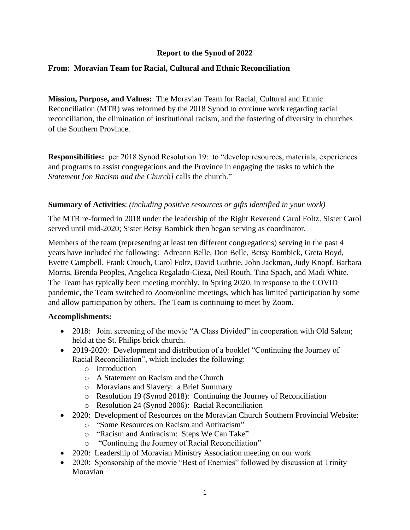# **Report to the Synod of 2022**

# **From: Moravian Team for Racial, Cultural and Ethnic Reconciliation**

**Mission, Purpose, and Values:** The Moravian Team for Racial, Cultural and Ethnic Reconciliation (MTR) was reformed by the 2018 Synod to continue work regarding racial reconciliation, the elimination of institutional racism, and the fostering of diversity in churches of the Southern Province.

**Responsibilities:** per 2018 Synod Resolution 19: to "develop resources, materials, experiences and programs to assist congregations and the Province in engaging the tasks to which the *Statement [on Racism and the Church]* calls the church."

## **Summary of Activities**: *(including positive resources or gifts identified in your work)*

The MTR re-formed in 2018 under the leadership of the Right Reverend Carol Foltz. Sister Carol served until mid-2020; Sister Betsy Bombick then began serving as coordinator.

Members of the team (representing at least ten different congregations) serving in the past 4 years have included the following: Adreann Belle, Don Belle, Betsy Bombick, Greta Boyd, Evette Campbell, Frank Crouch, Carol Foltz, David Guthrie, John Jackman, Judy Knopf, Barbara Morris, Brenda Peoples, Angelica Regalado-Cieza, Neil Routh, Tina Spach, and Madi White. The Team has typically been meeting monthly. In Spring 2020, in response to the COVID pandemic, the Team switched to Zoom/online meetings, which has limited participation by some and allow participation by others. The Team is continuing to meet by Zoom.

#### **Accomplishments:**

- 2018: Joint screening of the movie "A Class Divided" in cooperation with Old Salem; held at the St. Philips brick church.
- 2019-2020: Development and distribution of a booklet "Continuing the Journey of Racial Reconciliation", which includes the following:
	- o Introduction
	- o A Statement on Racism and the Church
	- o Moravians and Slavery: a Brief Summary
	- o Resolution 19 (Synod 2018): Continuing the Journey of Reconciliation
	- o Resolution 24 (Synod 2006): Racial Reconciliation
- 2020: Development of Resources on the Moravian Church Southern Provincial Website:
	- o "Some Resources on Racism and Antiracism"
	- o "Racism and Antiracism: Steps We Can Take"
	- o "Continuing the Journey of Racial Reconciliation"
- 2020: Leadership of Moravian Ministry Association meeting on our work
- 2020: Sponsorship of the movie "Best of Enemies" followed by discussion at Trinity Moravian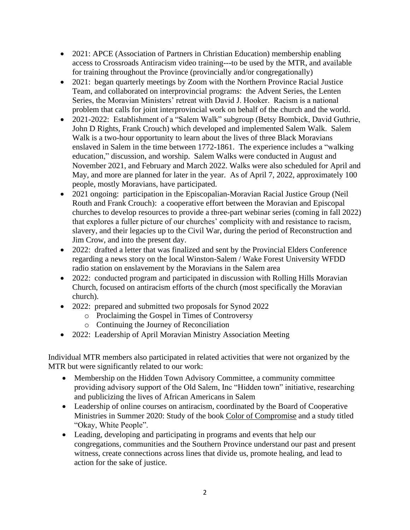- 2021: APCE (Association of Partners in Christian Education) membership enabling access to Crossroads Antiracism video training---to be used by the MTR, and available for training throughout the Province (provincially and/or congregationally)
- 2021: began quarterly meetings by Zoom with the Northern Province Racial Justice Team, and collaborated on interprovincial programs: the Advent Series, the Lenten Series, the Moravian Ministers' retreat with David J. Hooker. Racism is a national problem that calls for joint interprovincial work on behalf of the church and the world.
- 2021-2022: Establishment of a "Salem Walk" subgroup (Betsy Bombick, David Guthrie, John D Rights, Frank Crouch) which developed and implemented Salem Walk. Salem Walk is a two-hour opportunity to learn about the lives of three Black Moravians enslaved in Salem in the time between 1772-1861. The experience includes a "walking education," discussion, and worship. Salem Walks were conducted in August and November 2021, and February and March 2022. Walks were also scheduled for April and May, and more are planned for later in the year. As of April 7, 2022, approximately 100 people, mostly Moravians, have participated.
- 2021 ongoing: participation in the Episcopalian-Moravian Racial Justice Group (Neil Routh and Frank Crouch): a cooperative effort between the Moravian and Episcopal churches to develop resources to provide a three-part webinar series (coming in fall 2022) that explores a fuller picture of our churches' complicity with and resistance to racism, slavery, and their legacies up to the Civil War, during the period of Reconstruction and Jim Crow, and into the present day.
- 2022: drafted a letter that was finalized and sent by the Provincial Elders Conference regarding a news story on the local Winston-Salem / Wake Forest University WFDD radio station on enslavement by the Moravians in the Salem area
- 2022: conducted program and participated in discussion with Rolling Hills Moravian Church, focused on antiracism efforts of the church (most specifically the Moravian church).
- 2022: prepared and submitted two proposals for Synod 2022
	- o Proclaiming the Gospel in Times of Controversy
	- o Continuing the Journey of Reconciliation
- 2022: Leadership of April Moravian Ministry Association Meeting

Individual MTR members also participated in related activities that were not organized by the MTR but were significantly related to our work:

- Membership on the Hidden Town Advisory Committee, a community committee providing advisory support of the Old Salem, Inc "Hidden town" initiative, researching and publicizing the lives of African Americans in Salem
- Leadership of online courses on antiracism, coordinated by the Board of Cooperative Ministries in Summer 2020: Study of the book Color of Compromise and a study titled "Okay, White People".
- Leading, developing and participating in programs and events that help our congregations, communities and the Southern Province understand our past and present witness, create connections across lines that divide us, promote healing, and lead to action for the sake of justice.